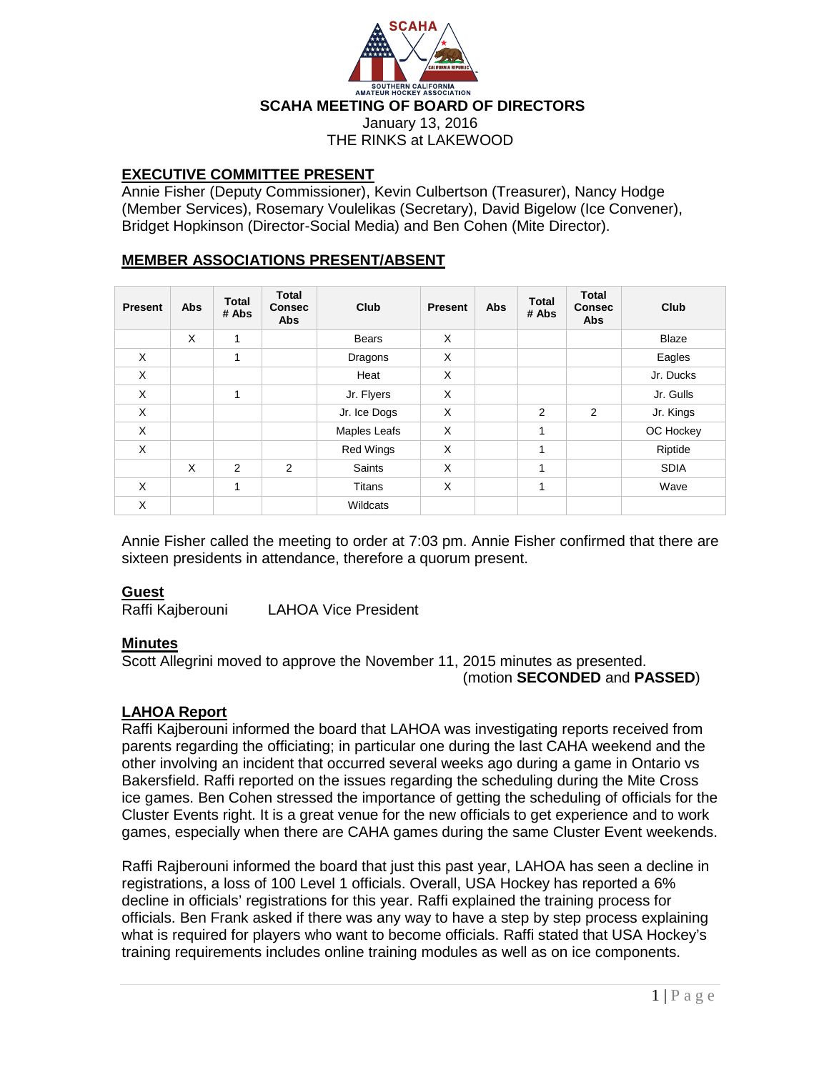

# **EXECUTIVE COMMITTEE PRESENT**

Annie Fisher (Deputy Commissioner), Kevin Culbertson (Treasurer), Nancy Hodge (Member Services), Rosemary Voulelikas (Secretary), David Bigelow (Ice Convener), Bridget Hopkinson (Director-Social Media) and Ben Cohen (Mite Director).

# **MEMBER ASSOCIATIONS PRESENT/ABSENT**

| <b>Present</b> | <b>Abs</b> | <b>Total</b><br># Abs | <b>Total</b><br><b>Consec</b><br><b>Abs</b> | Club             | <b>Present</b> | Abs | <b>Total</b><br># Abs | <b>Total</b><br><b>Consec</b><br><b>Abs</b> | Club         |
|----------------|------------|-----------------------|---------------------------------------------|------------------|----------------|-----|-----------------------|---------------------------------------------|--------------|
|                | X          | 1                     |                                             | <b>Bears</b>     | X              |     |                       |                                             | <b>Blaze</b> |
| X              |            | 1                     |                                             | Dragons          | X              |     |                       |                                             | Eagles       |
| X              |            |                       |                                             | Heat             | X              |     |                       |                                             | Jr. Ducks    |
| X              |            | 1                     |                                             | Jr. Flyers       | X              |     |                       |                                             | Jr. Gulls    |
| X              |            |                       |                                             | Jr. Ice Dogs     | X              |     | 2                     | 2                                           | Jr. Kings    |
| X              |            |                       |                                             | Maples Leafs     | X              |     | 1                     |                                             | OC Hockey    |
| X              |            |                       |                                             | <b>Red Wings</b> | X              |     | 1                     |                                             | Riptide      |
|                | X          | $\overline{2}$        | $\overline{2}$                              | Saints           | X              |     | 1                     |                                             | <b>SDIA</b>  |
| X              |            | 1                     |                                             | <b>Titans</b>    | X              |     | 1                     |                                             | Wave         |
| X              |            |                       |                                             | Wildcats         |                |     |                       |                                             |              |

Annie Fisher called the meeting to order at 7:03 pm. Annie Fisher confirmed that there are sixteen presidents in attendance, therefore a quorum present.

### **Guest**

Raffi Kajberouni LAHOA Vice President

### **Minutes**

Scott Allegrini moved to approve the November 11, 2015 minutes as presented. (motion **SECONDED** and **PASSED**)

### **LAHOA Report**

Raffi Kajberouni informed the board that LAHOA was investigating reports received from parents regarding the officiating; in particular one during the last CAHA weekend and the other involving an incident that occurred several weeks ago during a game in Ontario vs Bakersfield. Raffi reported on the issues regarding the scheduling during the Mite Cross ice games. Ben Cohen stressed the importance of getting the scheduling of officials for the Cluster Events right. It is a great venue for the new officials to get experience and to work games, especially when there are CAHA games during the same Cluster Event weekends.

Raffi Rajberouni informed the board that just this past year, LAHOA has seen a decline in registrations, a loss of 100 Level 1 officials. Overall, USA Hockey has reported a 6% decline in officials' registrations for this year. Raffi explained the training process for officials. Ben Frank asked if there was any way to have a step by step process explaining what is required for players who want to become officials. Raffi stated that USA Hockey's training requirements includes online training modules as well as on ice components.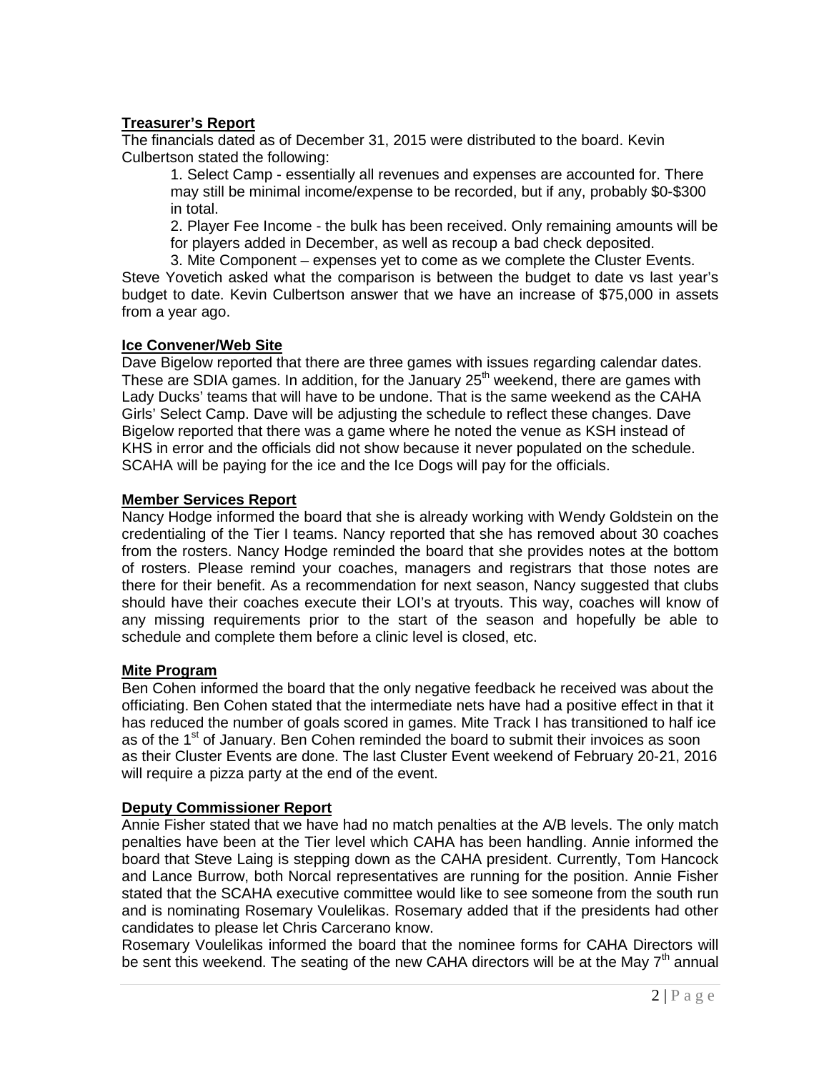# **Treasurer's Report**

The financials dated as of December 31, 2015 were distributed to the board. Kevin Culbertson stated the following:

1. Select Camp - essentially all revenues and expenses are accounted for. There may still be minimal income/expense to be recorded, but if any, probably \$0-\$300 in total.

2. Player Fee Income - the bulk has been received. Only remaining amounts will be for players added in December, as well as recoup a bad check deposited.

3. Mite Component – expenses yet to come as we complete the Cluster Events. Steve Yovetich asked what the comparison is between the budget to date vs last year's budget to date. Kevin Culbertson answer that we have an increase of \$75,000 in assets from a year ago.

### **Ice Convener/Web Site**

Dave Bigelow reported that there are three games with issues regarding calendar dates. These are SDIA games. In addition, for the January 25<sup>th</sup> weekend, there are games with Lady Ducks' teams that will have to be undone. That is the same weekend as the CAHA Girls' Select Camp. Dave will be adjusting the schedule to reflect these changes. Dave Bigelow reported that there was a game where he noted the venue as KSH instead of KHS in error and the officials did not show because it never populated on the schedule. SCAHA will be paying for the ice and the Ice Dogs will pay for the officials.

#### **Member Services Report**

Nancy Hodge informed the board that she is already working with Wendy Goldstein on the credentialing of the Tier I teams. Nancy reported that she has removed about 30 coaches from the rosters. Nancy Hodge reminded the board that she provides notes at the bottom of rosters. Please remind your coaches, managers and registrars that those notes are there for their benefit. As a recommendation for next season, Nancy suggested that clubs should have their coaches execute their LOI's at tryouts. This way, coaches will know of any missing requirements prior to the start of the season and hopefully be able to schedule and complete them before a clinic level is closed, etc.

### **Mite Program**

Ben Cohen informed the board that the only negative feedback he received was about the officiating. Ben Cohen stated that the intermediate nets have had a positive effect in that it has reduced the number of goals scored in games. Mite Track I has transitioned to half ice as of the 1<sup>st</sup> of January. Ben Cohen reminded the board to submit their invoices as soon as their Cluster Events are done. The last Cluster Event weekend of February 20-21, 2016 will require a pizza party at the end of the event.

### **Deputy Commissioner Report**

Annie Fisher stated that we have had no match penalties at the A/B levels. The only match penalties have been at the Tier level which CAHA has been handling. Annie informed the board that Steve Laing is stepping down as the CAHA president. Currently, Tom Hancock and Lance Burrow, both Norcal representatives are running for the position. Annie Fisher stated that the SCAHA executive committee would like to see someone from the south run and is nominating Rosemary Voulelikas. Rosemary added that if the presidents had other candidates to please let Chris Carcerano know.

Rosemary Voulelikas informed the board that the nominee forms for CAHA Directors will be sent this weekend. The seating of the new CAHA directors will be at the May  $7<sup>th</sup>$  annual